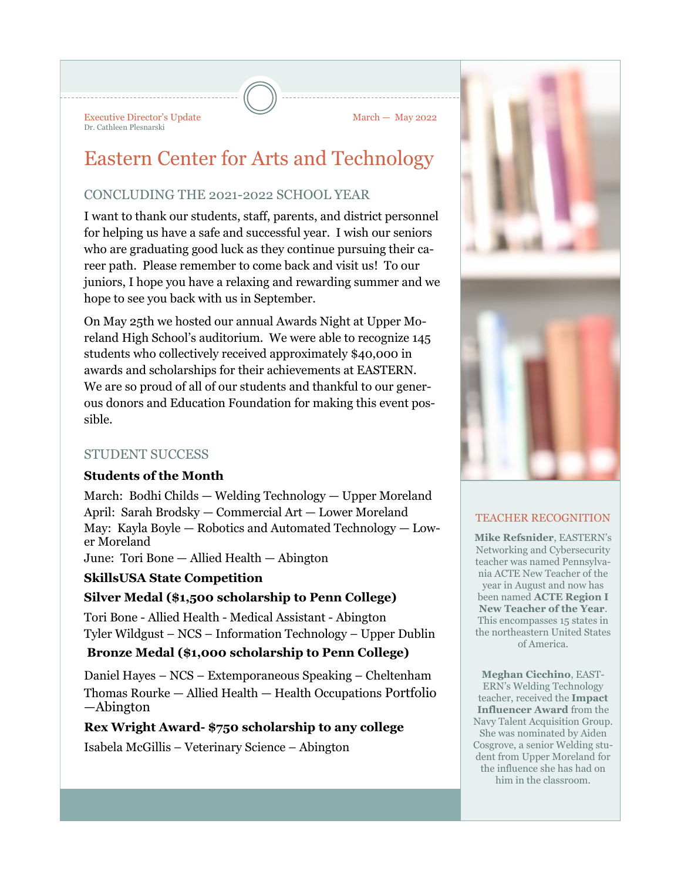Executive Director's Update March — May 2022 Dr. Cathleen Plesnarski

# Eastern Center for Arts and Technology

# CONCLUDING THE 2021-2022 SCHOOL YEAR

I want to thank our students, staff, parents, and district personnel for helping us have a safe and successful year. I wish our seniors who are graduating good luck as they continue pursuing their career path. Please remember to come back and visit us! To our juniors, I hope you have a relaxing and rewarding summer and we hope to see you back with us in September.

On May 25th we hosted our annual Awards Night at Upper Moreland High School's auditorium. We were able to recognize 145 students who collectively received approximately \$40,000 in awards and scholarships for their achievements at EASTERN. We are so proud of all of our students and thankful to our generous donors and Education Foundation for making this event possible.

## STUDENT SUCCESS

## **Students of the Month**

March: Bodhi Childs — Welding Technology — Upper Moreland April: Sarah Brodsky — Commercial Art — Lower Moreland May: Kayla Boyle — Robotics and Automated Technology — Lower Moreland

June: Tori Bone — Allied Health — Abington

## **SkillsUSA State Competition**

## **Silver Medal (\$1,500 scholarship to Penn College)**

Tori Bone - Allied Health - Medical Assistant - Abington Tyler Wildgust – NCS – Information Technology – Upper Dublin

## **Bronze Medal (\$1,000 scholarship to Penn College)**

Daniel Hayes – NCS – Extemporaneous Speaking – Cheltenham Thomas Rourke — Allied Health — Health Occupations Portfolio —Abington

## **Rex Wright Award- \$750 scholarship to any college**

Isabela McGillis – Veterinary Science – Abington



#### TEACHER RECOGNITION

**Mike Refsnider**, EASTERN's Networking and Cybersecurity teacher was named Pennsylvania ACTE New Teacher of the year in August and now has been named **ACTE Region I New Teacher of the Year**. This encompasses 15 states in the northeastern United States of America.

**Meghan Cicchino**, EAST-ERN's Welding Technology teacher, received the **Impact Influencer Award** from the Navy Talent Acquisition Group. She was nominated by Aiden Cosgrove, a senior Welding student from Upper Moreland for the influence she has had on him in the classroom.